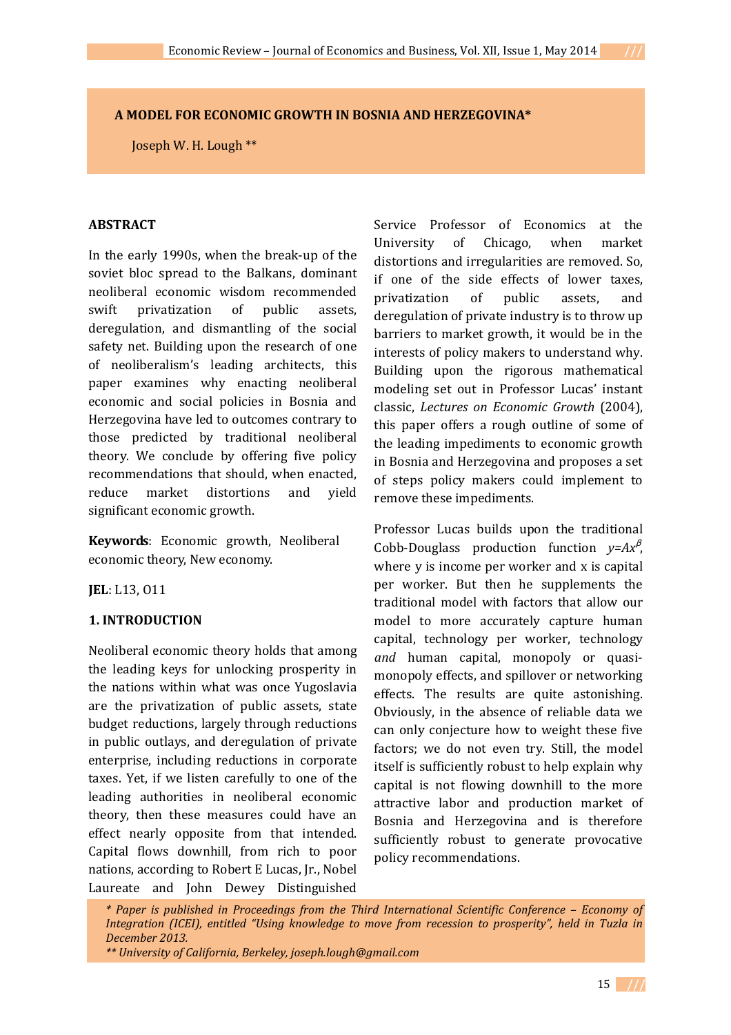## **A MODEL FOR ECONOMIC GROWTH IN BOSNIA AND HERZEGOVINA\***

Joseph W. H. Lough \*\*

## **ABSTRACT**

In the early 1990s, when the break-up of the soviet bloc spread to the Balkans, dominant neoliberal economic wisdom recommended swift privatization of public assets, deregulation, and dismantling of the social safety net. Building upon the research of one of neoliberalism's leading architects, this paper examines why enacting neoliberal economic and social policies in Bosnia and Herzegovina have led to outcomes contrary to those predicted by traditional neoliberal theory. We conclude by offering five policy recommendations that should, when enacted, reduce market distortions and yield significant economic growth.

**Keywords**: Economic growth, Neoliberal economic theory, New economy.

**JEL**: L13, O11

#### **1. INTRODUCTION**

Neoliberal economic theory holds that among the leading keys for unlocking prosperity in the nations within what was once Yugoslavia are the privatization of public assets, state budget reductions, largely through reductions in public outlays, and deregulation of private enterprise, including reductions in corporate taxes. Yet, if we listen carefully to one of the leading authorities in neoliberal economic theory, then these measures could have an effect nearly opposite from that intended. Capital flows downhill, from rich to poor nations, according to Robert E Lucas, Jr., Nobel Laureate and John Dewey Distinguished

Service Professor of Economics at the University of Chicago, when market distortions and irregularities are removed. So, if one of the side effects of lower taxes, privatization of public assets, and deregulation of private industry is to throw up barriers to market growth, it would be in the interests of policy makers to understand why. Building upon the rigorous mathematical modeling set out in Professor Lucas' instant classic, *Lectures on Economic Growth* (2004), this paper offers a rough outline of some of the leading impediments to economic growth in Bosnia and Herzegovina and proposes a set of steps policy makers could implement to remove these impediments.

Professor Lucas builds upon the traditional Cobb-Douglass production function *y=Ax*<sup>β</sup> , where y is income per worker and x is capital per worker. But then he supplements the traditional model with factors that allow our model to more accurately capture human capital, technology per worker, technology *and* human capital, monopoly or quasimonopoly effects, and spillover or networking effects. The results are quite astonishing. Obviously, in the absence of reliable data we can only conjecture how to weight these five factors; we do not even try. Still, the model itself is sufficiently robust to help explain why capital is not flowing downhill to the more attractive labor and production market of Bosnia and Herzegovina and is therefore sufficiently robust to generate provocative policy recommendations.

 *\* Paper is published in Proceedings from the Third International Scientific Conference – Economy of Integration (ICEI), entitled "Using knowledge to move from recession to prosperity", held in Tuzla in December 2013.* 

 *<sup>\*\*</sup> University of California, Berkeley, joseph.lough@gmail.com*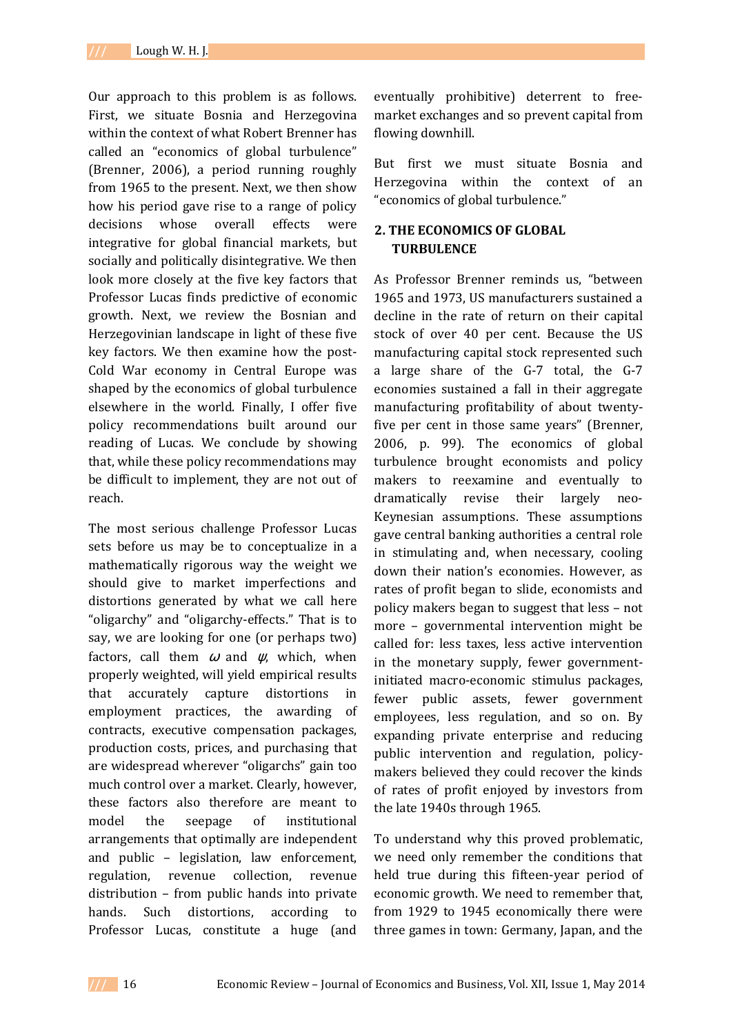Our approach to this problem is as follows. First, we situate Bosnia and Herzegovina within the context of what Robert Brenner has called an "economics of global turbulence" (Brenner, 2006), a period running roughly from 1965 to the present. Next, we then show how his period gave rise to a range of policy decisions whose overall effects were integrative for global financial markets, but socially and politically disintegrative. We then look more closely at the five key factors that Professor Lucas finds predictive of economic growth. Next, we review the Bosnian and Herzegovinian landscape in light of these five key factors. We then examine how the post-Cold War economy in Central Europe was shaped by the economics of global turbulence elsewhere in the world. Finally, I offer five policy recommendations built around our reading of Lucas. We conclude by showing that, while these policy recommendations may be difficult to implement, they are not out of reach.

The most serious challenge Professor Lucas sets before us may be to conceptualize in a mathematically rigorous way the weight we should give to market imperfections and distortions generated by what we call here "oligarchy" and "oligarchy-effects." That is to say, we are looking for one (or perhaps two) factors, call them  $\omega$  and  $\psi$ , which, when properly weighted, will yield empirical results that accurately capture distortions in employment practices, the awarding of contracts, executive compensation packages, production costs, prices, and purchasing that are widespread wherever "oligarchs" gain too much control over a market. Clearly, however, these factors also therefore are meant to model the seepage of institutional arrangements that optimally are independent and public – legislation, law enforcement, regulation, revenue collection, revenue distribution – from public hands into private hands. Such distortions, according to Professor Lucas, constitute a huge (and

eventually prohibitive) deterrent to freemarket exchanges and so prevent capital from flowing downhill.

But first we must situate Bosnia and Herzegovina within the context of an "economics of global turbulence."

# **2. THE ECONOMICS OF GLOBAL TURBULENCE**

As Professor Brenner reminds us, "between 1965 and 1973, US manufacturers sustained a decline in the rate of return on their capital stock of over 40 per cent. Because the US manufacturing capital stock represented such a large share of the G-7 total, the G-7 economies sustained a fall in their aggregate manufacturing profitability of about twentyfive per cent in those same years" (Brenner, 2006, p. 99). The economics of global turbulence brought economists and policy makers to reexamine and eventually to dramatically revise their largely neo-Keynesian assumptions. These assumptions gave central banking authorities a central role in stimulating and, when necessary, cooling down their nation's economies. However, as rates of profit began to slide, economists and policy makers began to suggest that less – not more – governmental intervention might be called for: less taxes, less active intervention in the monetary supply, fewer governmentinitiated macro-economic stimulus packages, fewer public assets, fewer government employees, less regulation, and so on. By expanding private enterprise and reducing public intervention and regulation, policymakers believed they could recover the kinds of rates of profit enjoyed by investors from the late 1940s through 1965.

To understand why this proved problematic, we need only remember the conditions that held true during this fifteen-year period of economic growth. We need to remember that, from 1929 to 1945 economically there were three games in town: Germany, Japan, and the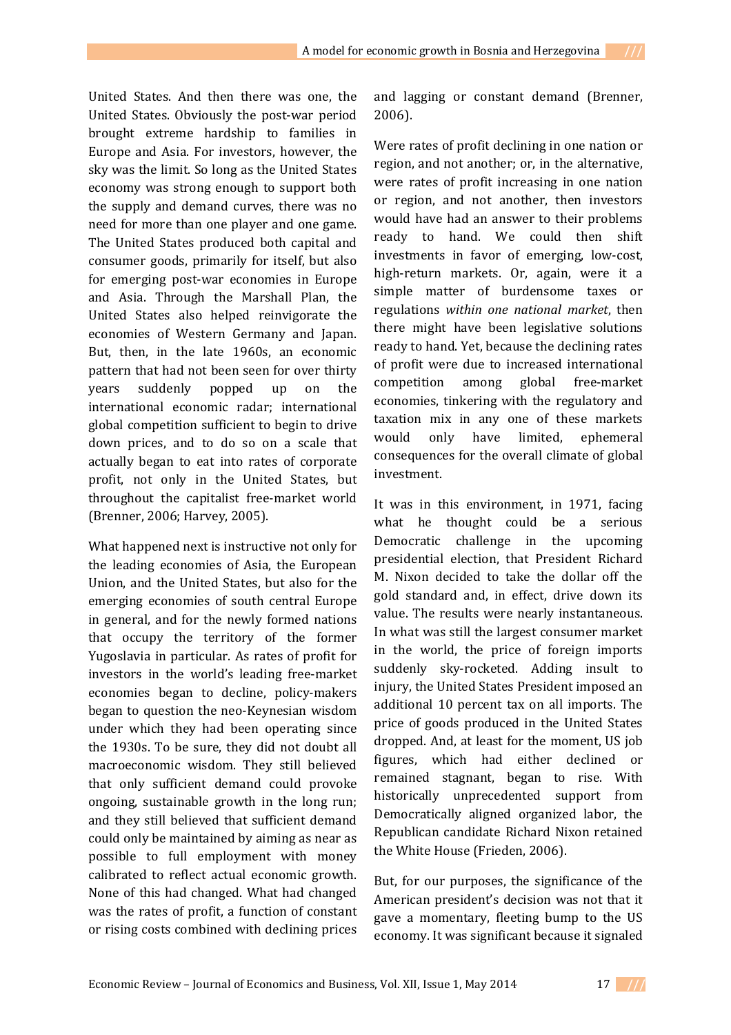United States. And then there was one, the United States. Obviously the post-war period brought extreme hardship to families in Europe and Asia. For investors, however, the sky was the limit. So long as the United States economy was strong enough to support both the supply and demand curves, there was no need for more than one player and one game. The United States produced both capital and consumer goods, primarily for itself, but also for emerging post-war economies in Europe and Asia. Through the Marshall Plan, the United States also helped reinvigorate the economies of Western Germany and Japan. But, then, in the late 1960s, an economic pattern that had not been seen for over thirty years suddenly popped up on the international economic radar; international global competition sufficient to begin to drive down prices, and to do so on a scale that actually began to eat into rates of corporate profit, not only in the United States, but throughout the capitalist free-market world (Brenner, 2006; Harvey, 2005).

What happened next is instructive not only for the leading economies of Asia, the European Union, and the United States, but also for the emerging economies of south central Europe in general, and for the newly formed nations that occupy the territory of the former Yugoslavia in particular. As rates of profit for investors in the world's leading free-market economies began to decline, policy-makers began to question the neo-Keynesian wisdom under which they had been operating since the 1930s. To be sure, they did not doubt all macroeconomic wisdom. They still believed that only sufficient demand could provoke ongoing, sustainable growth in the long run; and they still believed that sufficient demand could only be maintained by aiming as near as possible to full employment with money calibrated to reflect actual economic growth. None of this had changed. What had changed was the rates of profit, a function of constant or rising costs combined with declining prices

and lagging or constant demand (Brenner, 2006).

Were rates of profit declining in one nation or region, and not another; or, in the alternative, were rates of profit increasing in one nation or region, and not another, then investors would have had an answer to their problems ready to hand. We could then shift investments in favor of emerging, low-cost, high-return markets. Or, again, were it a simple matter of burdensome taxes or regulations *within one national market*, then there might have been legislative solutions ready to hand. Yet, because the declining rates of profit were due to increased international competition among global free-market economies, tinkering with the regulatory and taxation mix in any one of these markets would only have limited, ephemeral consequences for the overall climate of global investment.

It was in this environment, in 1971, facing what he thought could be a serious Democratic challenge in the upcoming presidential election, that President Richard M. Nixon decided to take the dollar off the gold standard and, in effect, drive down its value. The results were nearly instantaneous. In what was still the largest consumer market in the world, the price of foreign imports suddenly sky-rocketed. Adding insult to injury, the United States President imposed an additional 10 percent tax on all imports. The price of goods produced in the United States dropped. And, at least for the moment, US job figures, which had either declined or remained stagnant, began to rise. With historically unprecedented support from Democratically aligned organized labor, the Republican candidate Richard Nixon retained the White House (Frieden, 2006).

But, for our purposes, the significance of the American president's decision was not that it gave a momentary, fleeting bump to the US economy. It was significant because it signaled

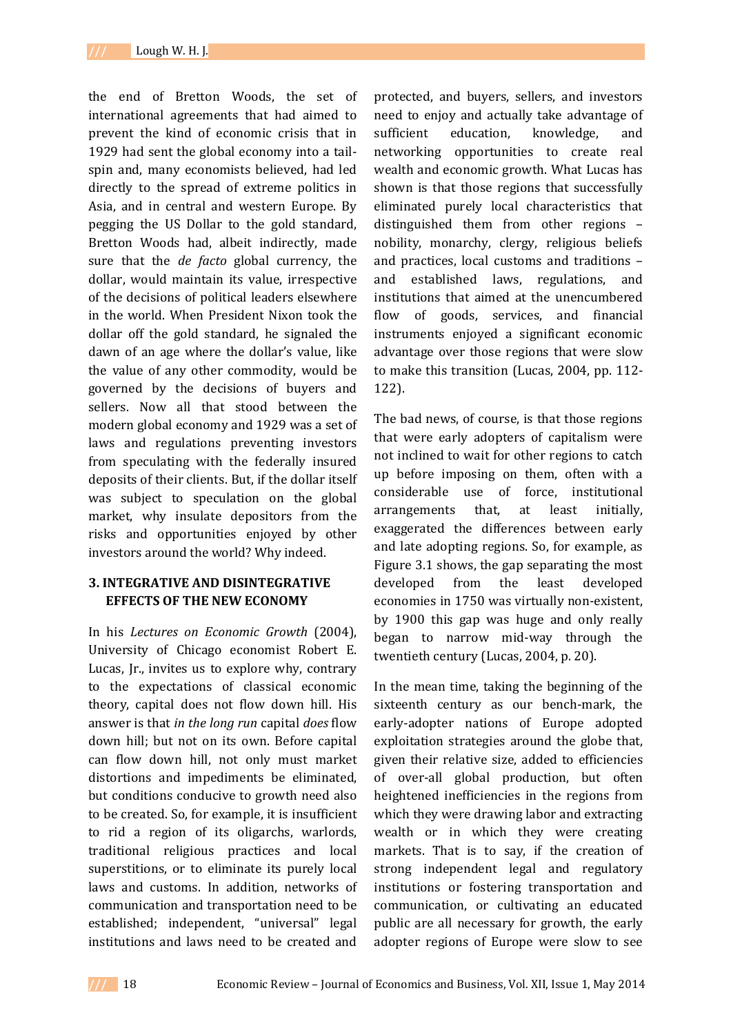the end of Bretton Woods, the set of international agreements that had aimed to prevent the kind of economic crisis that in 1929 had sent the global economy into a tailspin and, many economists believed, had led directly to the spread of extreme politics in Asia, and in central and western Europe. By pegging the US Dollar to the gold standard, Bretton Woods had, albeit indirectly, made sure that the *de facto* global currency, the dollar, would maintain its value, irrespective of the decisions of political leaders elsewhere in the world. When President Nixon took the dollar off the gold standard, he signaled the dawn of an age where the dollar's value, like the value of any other commodity, would be governed by the decisions of buyers and sellers. Now all that stood between the modern global economy and 1929 was a set of laws and regulations preventing investors from speculating with the federally insured deposits of their clients. But, if the dollar itself was subject to speculation on the global market, why insulate depositors from the risks and opportunities enjoyed by other investors around the world? Why indeed.

## **3. INTEGRATIVE AND DISINTEGRATIVE EFFECTS OF THE NEW ECONOMY**

In his *Lectures on Economic Growth* (2004), University of Chicago economist Robert E. Lucas, Jr., invites us to explore why, contrary to the expectations of classical economic theory, capital does not flow down hill. His answer is that *in the long run* capital *does* flow down hill; but not on its own. Before capital can flow down hill, not only must market distortions and impediments be eliminated, but conditions conducive to growth need also to be created. So, for example, it is insufficient to rid a region of its oligarchs, warlords, traditional religious practices and local superstitions, or to eliminate its purely local laws and customs. In addition, networks of communication and transportation need to be established; independent, "universal" legal institutions and laws need to be created and

protected, and buyers, sellers, and investors need to enjoy and actually take advantage of sufficient education, knowledge, and networking opportunities to create real wealth and economic growth. What Lucas has shown is that those regions that successfully eliminated purely local characteristics that distinguished them from other regions – nobility, monarchy, clergy, religious beliefs and practices, local customs and traditions – and established laws, regulations, and institutions that aimed at the unencumbered flow of goods, services, and financial instruments enjoyed a significant economic advantage over those regions that were slow to make this transition (Lucas, 2004, pp. 112- 122).

The bad news, of course, is that those regions that were early adopters of capitalism were not inclined to wait for other regions to catch up before imposing on them, often with a considerable use of force, institutional arrangements that, at least initially, exaggerated the differences between early and late adopting regions. So, for example, as Figure 3.1 shows, the gap separating the most developed from the least developed economies in 1750 was virtually non-existent, by 1900 this gap was huge and only really began to narrow mid-way through the twentieth century (Lucas, 2004, p. 20).

In the mean time, taking the beginning of the sixteenth century as our bench-mark, the early-adopter nations of Europe adopted exploitation strategies around the globe that, given their relative size, added to efficiencies of over-all global production, but often heightened inefficiencies in the regions from which they were drawing labor and extracting wealth or in which they were creating markets. That is to say, if the creation of strong independent legal and regulatory institutions or fostering transportation and communication, or cultivating an educated public are all necessary for growth, the early adopter regions of Europe were slow to see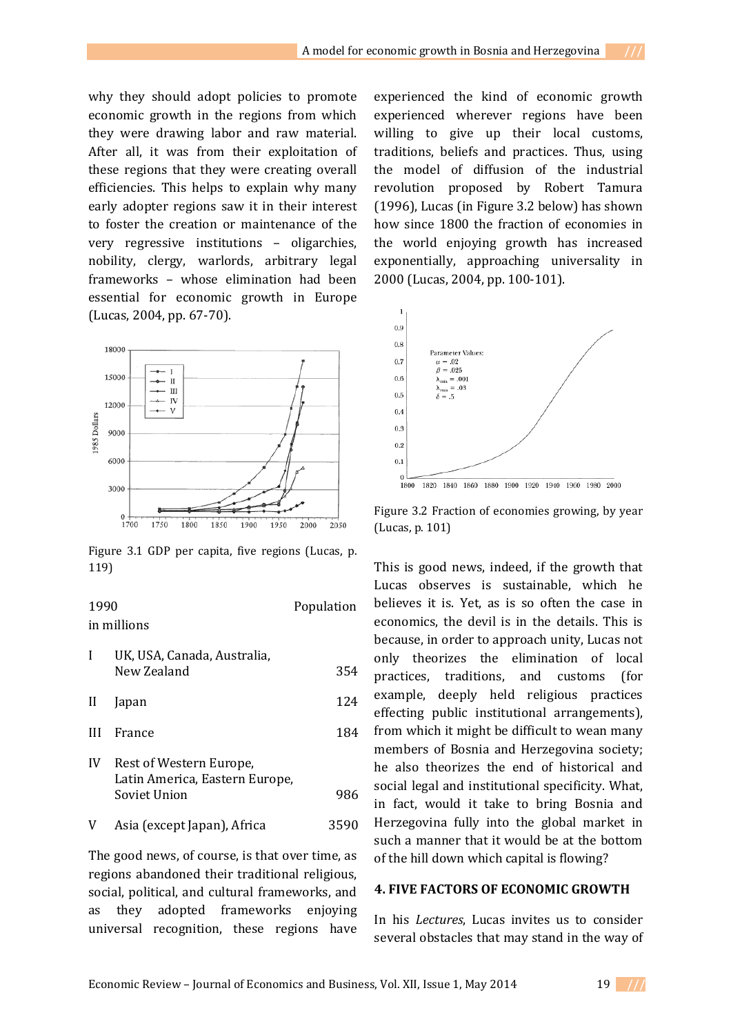why they should adopt policies to promote economic growth in the regions from which they were drawing labor and raw material. After all, it was from their exploitation of these regions that they were creating overall efficiencies. This helps to explain why many early adopter regions saw it in their interest to foster the creation or maintenance of the very regressive institutions – oligarchies, nobility, clergy, warlords, arbitrary legal frameworks – whose elimination had been essential for economic growth in Europe (Lucas, 2004, pp. 67-70).



Figure 3.1 GDP per capita, five regions (Lucas, p. 119)

### 1990 Population in millions

| I            | UK, USA, Canada, Australia,<br>New Zealand                                | 354  |
|--------------|---------------------------------------------------------------------------|------|
| $\mathbf{H}$ | <b>Japan</b>                                                              | 124  |
| Ш            | France                                                                    | 184  |
| IV           | Rest of Western Europe,<br>Latin America, Eastern Europe,<br>Soviet Union | 986  |
| V            | Asia (except Japan), Africa                                               | 3590 |

The good news, of course, is that over time, as regions abandoned their traditional religious, social, political, and cultural frameworks, and as they adopted frameworks enjoying universal recognition, these regions have

experienced the kind of economic growth experienced wherever regions have been willing to give up their local customs, traditions, beliefs and practices. Thus, using the model of diffusion of the industrial revolution proposed by Robert Tamura (1996), Lucas (in Figure 3.2 below) has shown how since 1800 the fraction of economies in the world enjoying growth has increased exponentially, approaching universality in 2000 (Lucas, 2004, pp. 100-101).



Figure 3.2 Fraction of economies growing, by year (Lucas, p. 101)

This is good news, indeed, if the growth that Lucas observes is sustainable, which he believes it is. Yet, as is so often the case in economics, the devil is in the details. This is because, in order to approach unity, Lucas not only theorizes the elimination of local practices, traditions, and customs (for example, deeply held religious practices effecting public institutional arrangements), from which it might be difficult to wean many members of Bosnia and Herzegovina society; he also theorizes the end of historical and social legal and institutional specificity. What, in fact, would it take to bring Bosnia and Herzegovina fully into the global market in such a manner that it would be at the bottom of the hill down which capital is flowing?

#### **4. FIVE FACTORS OF ECONOMIC GROWTH**

In his *Lectures*, Lucas invites us to consider several obstacles that may stand in the way of

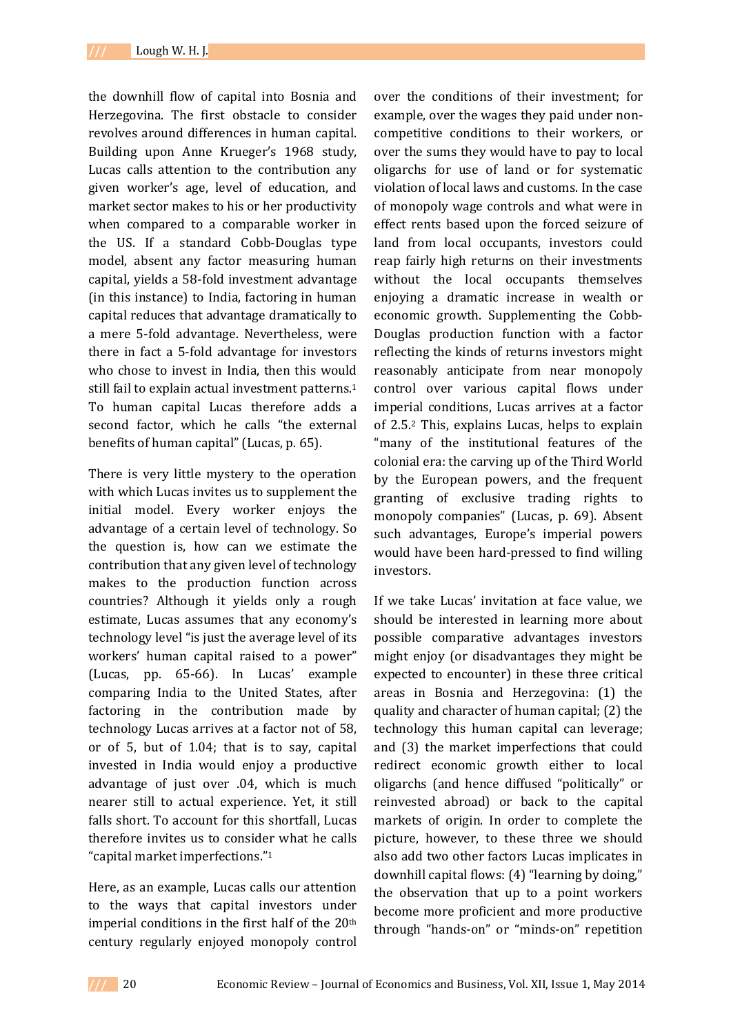the downhill flow of capital into Bosnia and Herzegovina. The first obstacle to consider revolves around differences in human capital. Building upon Anne Krueger's 1968 study, Lucas calls attention to the contribution any given worker's age, level of education, and market sector makes to his or her productivity when compared to a comparable worker in the US. If a standard Cobb-Douglas type model, absent any factor measuring human capital, yields a 58-fold investment advantage (in this instance) to India, factoring in human capital reduces that advantage dramatically to a mere 5-fold advantage. Nevertheless, were there in fact a 5-fold advantage for investors who chose to invest in India, then this would still fail to explain actual investment patterns.<sup>1</sup> To human capital Lucas therefore adds a second factor, which he calls "the external benefits of human capital" (Lucas, p. 65).

There is very little mystery to the operation with which Lucas invites us to supplement the initial model. Every worker enjoys the advantage of a certain level of technology. So the question is, how can we estimate the contribution that any given level of technology makes to the production function across countries? Although it yields only a rough estimate, Lucas assumes that any economy's technology level "is just the average level of its workers' human capital raised to a power" (Lucas, pp. 65-66). In Lucas' example comparing India to the United States, after factoring in the contribution made by technology Lucas arrives at a factor not of 58, or of 5, but of 1.04; that is to say, capital invested in India would enjoy a productive advantage of just over .04, which is much nearer still to actual experience. Yet, it still falls short. To account for this shortfall, Lucas therefore invites us to consider what he calls "capital market imperfections."<sup>1</sup>

Here, as an example, Lucas calls our attention to the ways that capital investors under imperial conditions in the first half of the 20th century regularly enjoyed monopoly control

over the conditions of their investment; for example, over the wages they paid under noncompetitive conditions to their workers, or over the sums they would have to pay to local oligarchs for use of land or for systematic violation of local laws and customs. In the case of monopoly wage controls and what were in effect rents based upon the forced seizure of land from local occupants, investors could reap fairly high returns on their investments without the local occupants themselves enjoying a dramatic increase in wealth or economic growth. Supplementing the Cobb-Douglas production function with a factor reflecting the kinds of returns investors might reasonably anticipate from near monopoly control over various capital flows under imperial conditions, Lucas arrives at a factor of 2.5.2 This, explains Lucas, helps to explain "many of the institutional features of the colonial era: the carving up of the Third World by the European powers, and the frequent granting of exclusive trading rights to monopoly companies" (Lucas, p. 69). Absent such advantages, Europe's imperial powers would have been hard-pressed to find willing investors.

If we take Lucas' invitation at face value, we should be interested in learning more about possible comparative advantages investors might enjoy (or disadvantages they might be expected to encounter) in these three critical areas in Bosnia and Herzegovina: (1) the quality and character of human capital; (2) the technology this human capital can leverage; and (3) the market imperfections that could redirect economic growth either to local oligarchs (and hence diffused "politically" or reinvested abroad) or back to the capital markets of origin. In order to complete the picture, however, to these three we should also add two other factors Lucas implicates in downhill capital flows: (4) "learning by doing," the observation that up to a point workers become more proficient and more productive through "hands-on" or "minds-on" repetition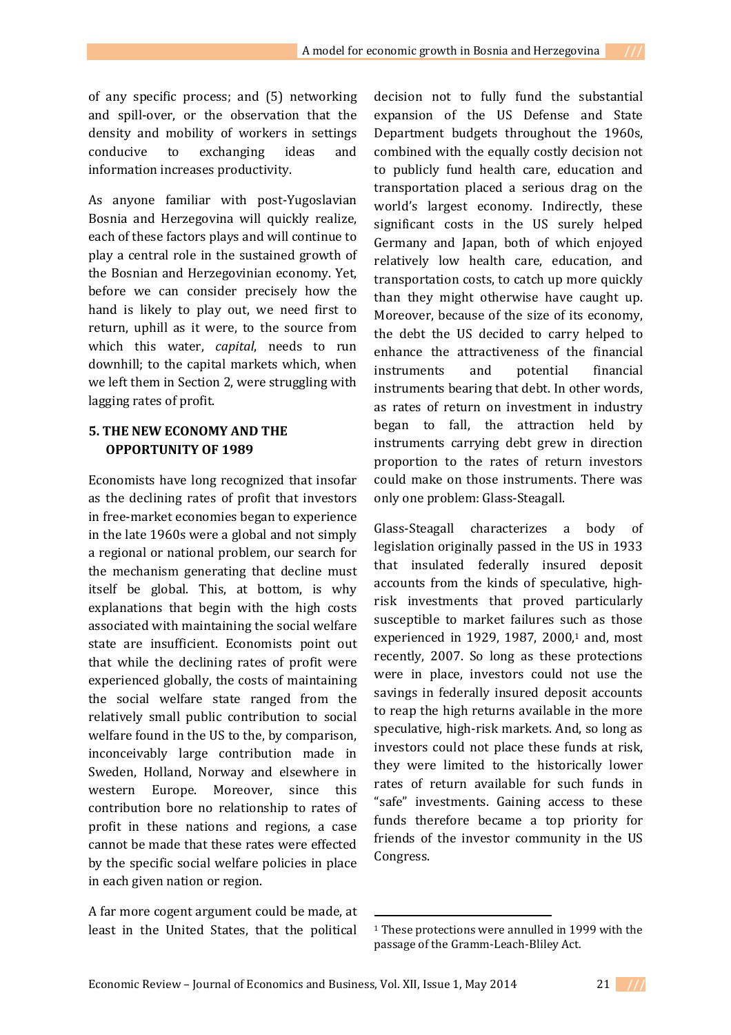of any specific process; and (5) networking and spill-over, or the observation that the density and mobility of workers in settings conducive to exchanging ideas and information increases productivity.

As anyone familiar with post-Yugoslavian Bosnia and Herzegovina will quickly realize, each of these factors plays and will continue to play a central role in the sustained growth of the Bosnian and Herzegovinian economy. Yet, before we can consider precisely how the hand is likely to play out, we need first to return, uphill as it were, to the source from which this water, *capital*, needs to run downhill; to the capital markets which, when we left them in Section 2, were struggling with lagging rates of profit.

# **5. THE NEW ECONOMY AND THE OPPORTUNITY OF 1989**

Economists have long recognized that insofar as the declining rates of profit that investors in free-market economies began to experience in the late 1960s were a global and not simply a regional or national problem, our search for the mechanism generating that decline must itself be global. This, at bottom, is why explanations that begin with the high costs associated with maintaining the social welfare state are insufficient. Economists point out that while the declining rates of profit were experienced globally, the costs of maintaining the social welfare state ranged from the relatively small public contribution to social welfare found in the US to the, by comparison, inconceivably large contribution made in Sweden, Holland, Norway and elsewhere in western Europe. Moreover, since this contribution bore no relationship to rates of profit in these nations and regions, a case cannot be made that these rates were effected by the specific social welfare policies in place in each given nation or region.

A far more cogent argument could be made, at least in the United States, that the political

decision not to fully fund the substantial expansion of the US Defense and State Department budgets throughout the 1960s, combined with the equally costly decision not to publicly fund health care, education and transportation placed a serious drag on the world's largest economy. Indirectly, these significant costs in the US surely helped Germany and Japan, both of which enjoyed relatively low health care, education, and transportation costs, to catch up more quickly than they might otherwise have caught up. Moreover, because of the size of its economy, the debt the US decided to carry helped to enhance the attractiveness of the financial instruments and potential financial instruments bearing that debt. In other words, as rates of return on investment in industry began to fall, the attraction held by instruments carrying debt grew in direction proportion to the rates of return investors could make on those instruments. There was only one problem: Glass-Steagall.

Glass-Steagall characterizes a body of legislation originally passed in the US in 1933 that insulated federally insured deposit accounts from the kinds of speculative, highrisk investments that proved particularly susceptible to market failures such as those experienced in 1929, 1987, 2000 $,1$  and, most recently, 2007. So long as these protections were in place, investors could not use the savings in federally insured deposit accounts to reap the high returns available in the more speculative, high-risk markets. And, so long as investors could not place these funds at risk, they were limited to the historically lower rates of return available for such funds in "safe" investments. Gaining access to these funds therefore became a top priority for friends of the investor community in the US Congress.

 $\overline{a}$ 



<sup>&</sup>lt;sup>1</sup> These protections were annulled in 1999 with the passage of the Gramm-Leach-Bliley Act.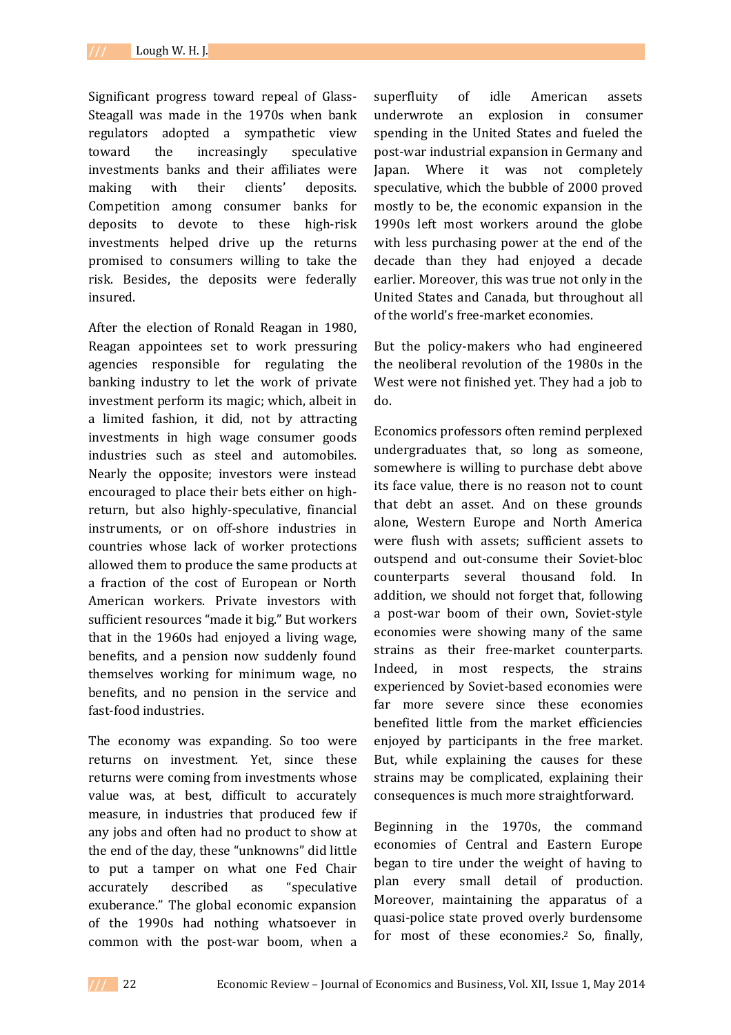Significant progress toward repeal of Glass-Steagall was made in the 1970s when bank regulators adopted a sympathetic view toward the increasingly speculative investments banks and their affiliates were making with their clients' deposits. Competition among consumer banks for deposits to devote to these high-risk investments helped drive up the returns promised to consumers willing to take the risk. Besides, the deposits were federally insured.

After the election of Ronald Reagan in 1980, Reagan appointees set to work pressuring agencies responsible for regulating the banking industry to let the work of private investment perform its magic; which, albeit in a limited fashion, it did, not by attracting investments in high wage consumer goods industries such as steel and automobiles. Nearly the opposite; investors were instead encouraged to place their bets either on highreturn, but also highly-speculative, financial instruments, or on off-shore industries in countries whose lack of worker protections allowed them to produce the same products at a fraction of the cost of European or North American workers. Private investors with sufficient resources "made it big." But workers that in the 1960s had enjoyed a living wage, benefits, and a pension now suddenly found themselves working for minimum wage, no benefits, and no pension in the service and fast-food industries.

The economy was expanding. So too were returns on investment. Yet, since these returns were coming from investments whose value was, at best, difficult to accurately measure, in industries that produced few if any jobs and often had no product to show at the end of the day, these "unknowns" did little to put a tamper on what one Fed Chair accurately described as "speculative exuberance." The global economic expansion of the 1990s had nothing whatsoever in common with the post-war boom, when a

superfluity of idle American assets underwrote an explosion in consumer spending in the United States and fueled the post-war industrial expansion in Germany and Japan. Where it was not completely speculative, which the bubble of 2000 proved mostly to be, the economic expansion in the 1990s left most workers around the globe with less purchasing power at the end of the decade than they had enjoyed a decade earlier. Moreover, this was true not only in the United States and Canada, but throughout all of the world's free-market economies.

But the policy-makers who had engineered the neoliberal revolution of the 1980s in the West were not finished yet. They had a job to do.

Economics professors often remind perplexed undergraduates that, so long as someone, somewhere is willing to purchase debt above its face value, there is no reason not to count that debt an asset. And on these grounds alone, Western Europe and North America were flush with assets; sufficient assets to outspend and out-consume their Soviet-bloc counterparts several thousand fold. In addition, we should not forget that, following a post-war boom of their own, Soviet-style economies were showing many of the same strains as their free-market counterparts. Indeed, in most respects, the strains experienced by Soviet-based economies were far more severe since these economies benefited little from the market efficiencies enjoyed by participants in the free market. But, while explaining the causes for these strains may be complicated, explaining their consequences is much more straightforward.

Beginning in the 1970s, the command economies of Central and Eastern Europe began to tire under the weight of having to plan every small detail of production. Moreover, maintaining the apparatus of a quasi-police state proved overly burdensome for most of these economies.<sup>2</sup> So, finally,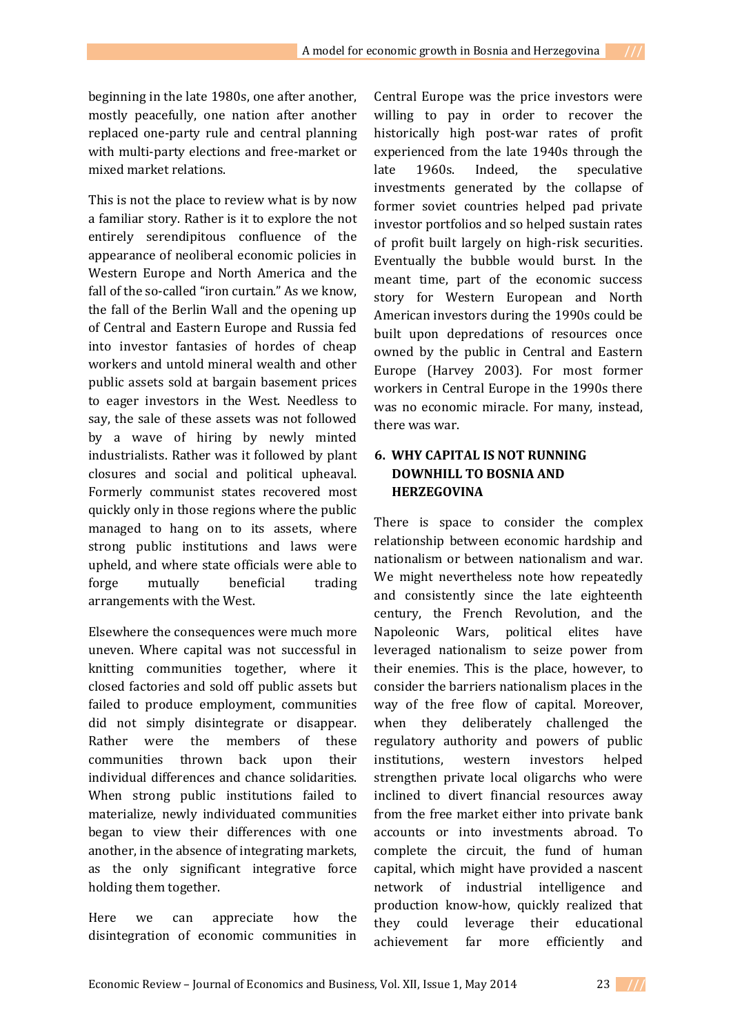beginning in the late 1980s, one after another, mostly peacefully, one nation after another replaced one-party rule and central planning with multi-party elections and free-market or mixed market relations.

This is not the place to review what is by now a familiar story. Rather is it to explore the not entirely serendipitous confluence of the appearance of neoliberal economic policies in Western Europe and North America and the fall of the so-called "iron curtain." As we know, the fall of the Berlin Wall and the opening up of Central and Eastern Europe and Russia fed into investor fantasies of hordes of cheap workers and untold mineral wealth and other public assets sold at bargain basement prices to eager investors in the West. Needless to say, the sale of these assets was not followed by a wave of hiring by newly minted industrialists. Rather was it followed by plant closures and social and political upheaval. Formerly communist states recovered most quickly only in those regions where the public managed to hang on to its assets, where strong public institutions and laws were upheld, and where state officials were able to forge mutually beneficial trading arrangements with the West.

Elsewhere the consequences were much more uneven. Where capital was not successful in knitting communities together, where it closed factories and sold off public assets but failed to produce employment, communities did not simply disintegrate or disappear. Rather were the members of these communities thrown back upon their individual differences and chance solidarities. When strong public institutions failed to materialize, newly individuated communities began to view their differences with one another, in the absence of integrating markets, as the only significant integrative force holding them together.

Here we can appreciate how the disintegration of economic communities in

Central Europe was the price investors were willing to pay in order to recover the historically high post-war rates of profit experienced from the late 1940s through the late 1960s. Indeed, the speculative investments generated by the collapse of former soviet countries helped pad private investor portfolios and so helped sustain rates of profit built largely on high-risk securities. Eventually the bubble would burst. In the meant time, part of the economic success story for Western European and North American investors during the 1990s could be built upon depredations of resources once owned by the public in Central and Eastern Europe (Harvey 2003). For most former workers in Central Europe in the 1990s there was no economic miracle. For many, instead, there was war.

# **6. WHY CAPITAL IS NOT RUNNING DOWNHILL TO BOSNIA AND HERZEGOVINA**

There is space to consider the complex relationship between economic hardship and nationalism or between nationalism and war. We might nevertheless note how repeatedly and consistently since the late eighteenth century, the French Revolution, and the Napoleonic Wars, political elites have leveraged nationalism to seize power from their enemies. This is the place, however, to consider the barriers nationalism places in the way of the free flow of capital. Moreover, when they deliberately challenged the regulatory authority and powers of public institutions, western investors helped strengthen private local oligarchs who were inclined to divert financial resources away from the free market either into private bank accounts or into investments abroad. To complete the circuit, the fund of human capital, which might have provided a nascent network of industrial intelligence and production know-how, quickly realized that they could leverage their educational achievement far more efficiently and

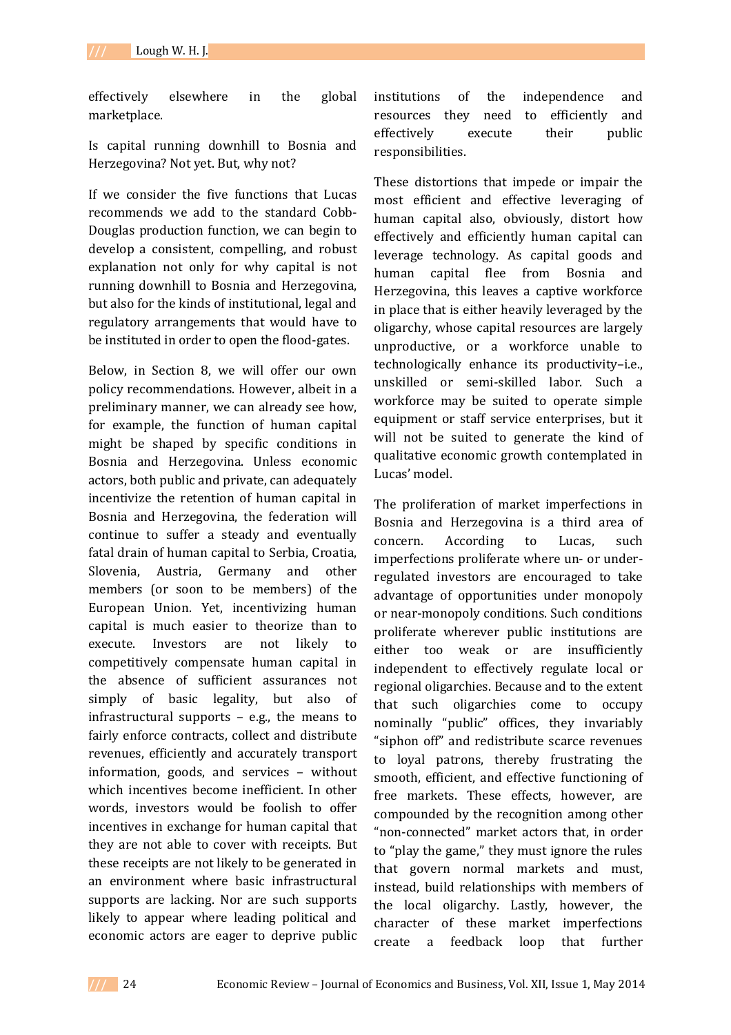effectively elsewhere in the global marketplace.

Is capital running downhill to Bosnia and Herzegovina? Not yet. But, why not?

If we consider the five functions that Lucas recommends we add to the standard Cobb-Douglas production function, we can begin to develop a consistent, compelling, and robust explanation not only for why capital is not running downhill to Bosnia and Herzegovina, but also for the kinds of institutional, legal and regulatory arrangements that would have to be instituted in order to open the flood-gates.

Below, in Section 8, we will offer our own policy recommendations. However, albeit in a preliminary manner, we can already see how, for example, the function of human capital might be shaped by specific conditions in Bosnia and Herzegovina. Unless economic actors, both public and private, can adequately incentivize the retention of human capital in Bosnia and Herzegovina, the federation will continue to suffer a steady and eventually fatal drain of human capital to Serbia, Croatia, Slovenia, Austria, Germany and other members (or soon to be members) of the European Union. Yet, incentivizing human capital is much easier to theorize than to execute. Investors are not likely to competitively compensate human capital in the absence of sufficient assurances not simply of basic legality, but also of infrastructural supports – e.g., the means to fairly enforce contracts, collect and distribute revenues, efficiently and accurately transport information, goods, and services – without which incentives become inefficient. In other words, investors would be foolish to offer incentives in exchange for human capital that they are not able to cover with receipts. But these receipts are not likely to be generated in an environment where basic infrastructural supports are lacking. Nor are such supports likely to appear where leading political and economic actors are eager to deprive public

institutions of the independence and resources they need to efficiently and effectively execute their public responsibilities.

These distortions that impede or impair the most efficient and effective leveraging of human capital also, obviously, distort how effectively and efficiently human capital can leverage technology. As capital goods and human capital flee from Bosnia and Herzegovina, this leaves a captive workforce in place that is either heavily leveraged by the oligarchy, whose capital resources are largely unproductive, or a workforce unable to technologically enhance its productivity–i.e., unskilled or semi-skilled labor. Such a workforce may be suited to operate simple equipment or staff service enterprises, but it will not be suited to generate the kind of qualitative economic growth contemplated in Lucas' model.

The proliferation of market imperfections in Bosnia and Herzegovina is a third area of concern. According to Lucas, such imperfections proliferate where un- or underregulated investors are encouraged to take advantage of opportunities under monopoly or near-monopoly conditions. Such conditions proliferate wherever public institutions are either too weak or are insufficiently independent to effectively regulate local or regional oligarchies. Because and to the extent that such oligarchies come to occupy nominally "public" offices, they invariably "siphon off" and redistribute scarce revenues to loyal patrons, thereby frustrating the smooth, efficient, and effective functioning of free markets. These effects, however, are compounded by the recognition among other "non-connected" market actors that, in order to "play the game," they must ignore the rules that govern normal markets and must, instead, build relationships with members of the local oligarchy. Lastly, however, the character of these market imperfections create a feedback loop that further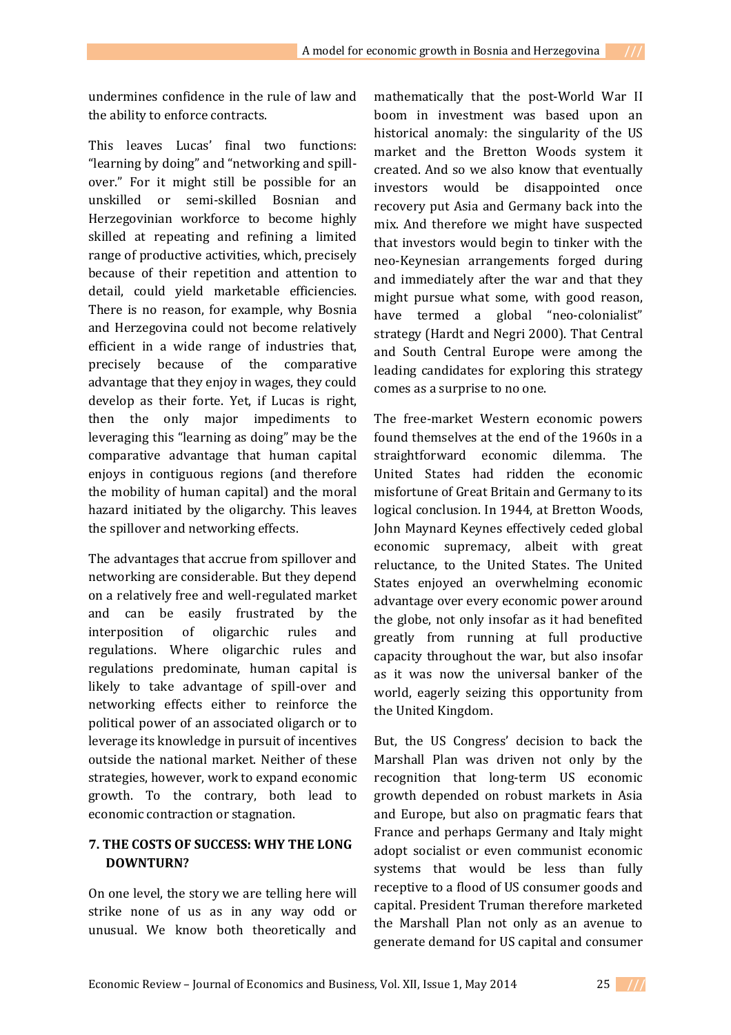undermines confidence in the rule of law and the ability to enforce contracts.

This leaves Lucas' final two functions: "learning by doing" and "networking and spillover." For it might still be possible for an unskilled or semi-skilled Bosnian and Herzegovinian workforce to become highly skilled at repeating and refining a limited range of productive activities, which, precisely because of their repetition and attention to detail, could yield marketable efficiencies. There is no reason, for example, why Bosnia and Herzegovina could not become relatively efficient in a wide range of industries that, precisely because of the comparative advantage that they enjoy in wages, they could develop as their forte. Yet, if Lucas is right, then the only major impediments to leveraging this "learning as doing" may be the comparative advantage that human capital enjoys in contiguous regions (and therefore the mobility of human capital) and the moral hazard initiated by the oligarchy. This leaves the spillover and networking effects.

The advantages that accrue from spillover and networking are considerable. But they depend on a relatively free and well-regulated market and can be easily frustrated by the interposition of oligarchic rules and regulations. Where oligarchic rules and regulations predominate, human capital is likely to take advantage of spill-over and networking effects either to reinforce the political power of an associated oligarch or to leverage its knowledge in pursuit of incentives outside the national market. Neither of these strategies, however, work to expand economic growth. To the contrary, both lead to economic contraction or stagnation.

# **7. THE COSTS OF SUCCESS: WHY THE LONG DOWNTURN?**

On one level, the story we are telling here will strike none of us as in any way odd or unusual. We know both theoretically and

mathematically that the post-World War II boom in investment was based upon an historical anomaly: the singularity of the US market and the Bretton Woods system it created. And so we also know that eventually investors would be disappointed once recovery put Asia and Germany back into the mix. And therefore we might have suspected that investors would begin to tinker with the neo-Keynesian arrangements forged during and immediately after the war and that they might pursue what some, with good reason, have termed a global "neo-colonialist" strategy (Hardt and Negri 2000). That Central and South Central Europe were among the leading candidates for exploring this strategy comes as a surprise to no one.

The free-market Western economic powers found themselves at the end of the 1960s in a straightforward economic dilemma. The United States had ridden the economic misfortune of Great Britain and Germany to its logical conclusion. In 1944, at Bretton Woods, John Maynard Keynes effectively ceded global economic supremacy, albeit with great reluctance, to the United States. The United States enjoyed an overwhelming economic advantage over every economic power around the globe, not only insofar as it had benefited greatly from running at full productive capacity throughout the war, but also insofar as it was now the universal banker of the world, eagerly seizing this opportunity from the United Kingdom.

But, the US Congress' decision to back the Marshall Plan was driven not only by the recognition that long-term US economic growth depended on robust markets in Asia and Europe, but also on pragmatic fears that France and perhaps Germany and Italy might adopt socialist or even communist economic systems that would be less than fully receptive to a flood of US consumer goods and capital. President Truman therefore marketed the Marshall Plan not only as an avenue to generate demand for US capital and consumer

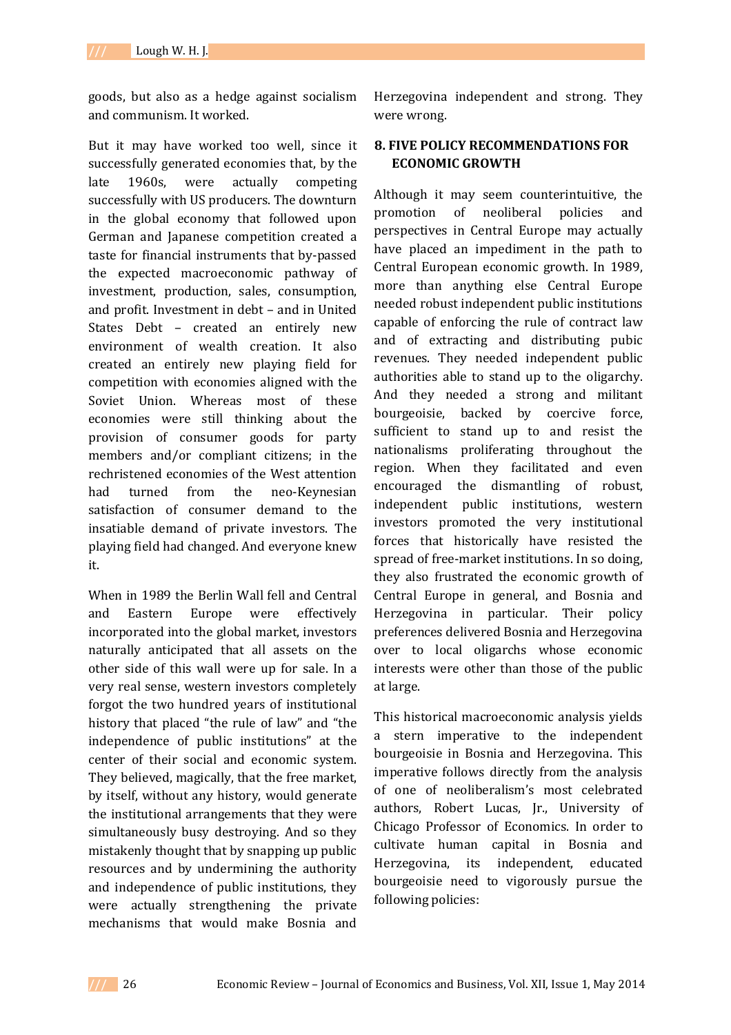goods, but also as a hedge against socialism and communism. It worked.

But it may have worked too well, since it successfully generated economies that, by the late 1960s, were actually competing successfully with US producers. The downturn in the global economy that followed upon German and Japanese competition created a taste for financial instruments that by-passed the expected macroeconomic pathway of investment, production, sales, consumption, and profit. Investment in debt – and in United States Debt – created an entirely new environment of wealth creation. It also created an entirely new playing field for competition with economies aligned with the Soviet Union. Whereas most of these economies were still thinking about the provision of consumer goods for party members and/or compliant citizens; in the rechristened economies of the West attention had turned from the neo-Keynesian satisfaction of consumer demand to the insatiable demand of private investors. The playing field had changed. And everyone knew it.

When in 1989 the Berlin Wall fell and Central and Eastern Europe were effectively incorporated into the global market, investors naturally anticipated that all assets on the other side of this wall were up for sale. In a very real sense, western investors completely forgot the two hundred years of institutional history that placed "the rule of law" and "the independence of public institutions" at the center of their social and economic system. They believed, magically, that the free market, by itself, without any history, would generate the institutional arrangements that they were simultaneously busy destroying. And so they mistakenly thought that by snapping up public resources and by undermining the authority and independence of public institutions, they were actually strengthening the private mechanisms that would make Bosnia and

Herzegovina independent and strong. They were wrong.

# **8. FIVE POLICY RECOMMENDATIONS FOR ECONOMIC GROWTH**

Although it may seem counterintuitive, the promotion of neoliberal policies and perspectives in Central Europe may actually have placed an impediment in the path to Central European economic growth. In 1989, more than anything else Central Europe needed robust independent public institutions capable of enforcing the rule of contract law and of extracting and distributing pubic revenues. They needed independent public authorities able to stand up to the oligarchy. And they needed a strong and militant bourgeoisie, backed by coercive force, sufficient to stand up to and resist the nationalisms proliferating throughout the region. When they facilitated and even encouraged the dismantling of robust, independent public institutions, western investors promoted the very institutional forces that historically have resisted the spread of free-market institutions. In so doing, they also frustrated the economic growth of Central Europe in general, and Bosnia and Herzegovina in particular. Their policy preferences delivered Bosnia and Herzegovina over to local oligarchs whose economic interests were other than those of the public at large.

This historical macroeconomic analysis yields a stern imperative to the independent bourgeoisie in Bosnia and Herzegovina. This imperative follows directly from the analysis of one of neoliberalism's most celebrated authors, Robert Lucas, Jr., University of Chicago Professor of Economics. In order to cultivate human capital in Bosnia and Herzegovina, its independent, educated bourgeoisie need to vigorously pursue the following policies: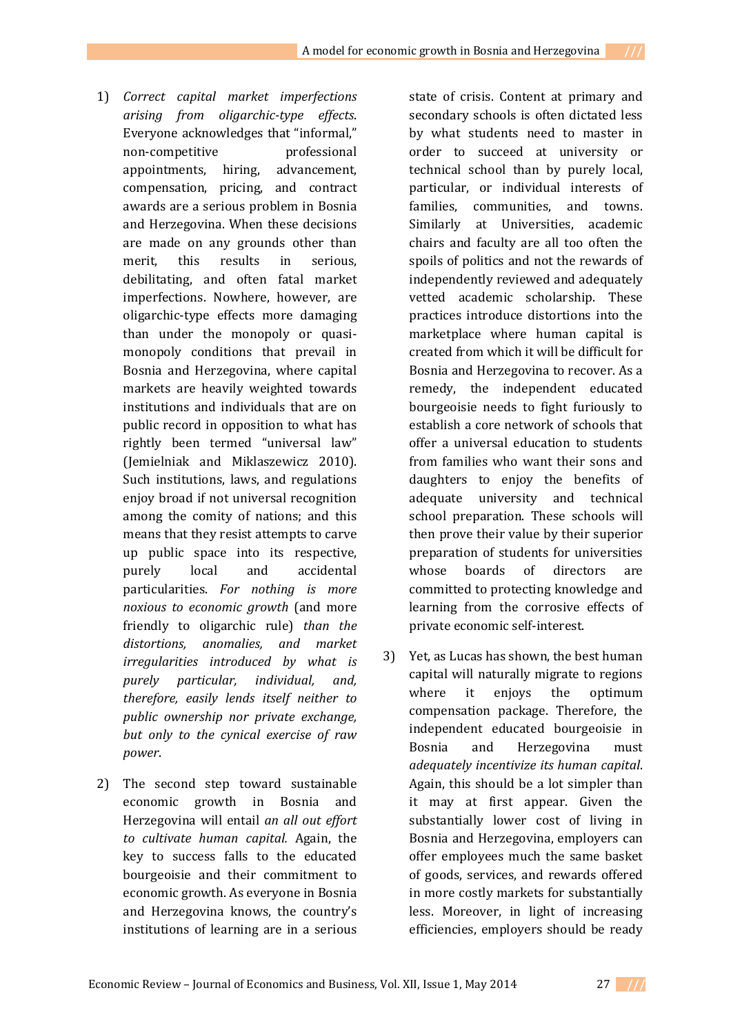- 1) *Correct capital market imperfections arising from oligarchic-type effects*. Everyone acknowledges that "informal," non-competitive professional appointments, hiring, advancement, compensation, pricing, and contract awards are a serious problem in Bosnia and Herzegovina. When these decisions are made on any grounds other than merit, this results in serious, debilitating, and often fatal market imperfections. Nowhere, however, are oligarchic-type effects more damaging than under the monopoly or quasimonopoly conditions that prevail in Bosnia and Herzegovina, where capital markets are heavily weighted towards institutions and individuals that are on public record in opposition to what has rightly been termed "universal law" (Jemielniak and Miklaszewicz 2010). Such institutions, laws, and regulations enjoy broad if not universal recognition among the comity of nations; and this means that they resist attempts to carve up public space into its respective, purely local and accidental particularities. *For nothing is more noxious to economic growth* (and more friendly to oligarchic rule) *than the distortions, anomalies, and market irregularities introduced by what is purely particular, individual, and, therefore, easily lends itself neither to public ownership nor private exchange, but only to the cynical exercise of raw power*.
- 2) The second step toward sustainable economic growth in Bosnia and Herzegovina will entail *an all out effort to cultivate human capital.* Again, the key to success falls to the educated bourgeoisie and their commitment to economic growth. As everyone in Bosnia and Herzegovina knows, the country's institutions of learning are in a serious

state of crisis. Content at primary and secondary schools is often dictated less by what students need to master in order to succeed at university or technical school than by purely local, particular, or individual interests of families, communities, and towns. Similarly at Universities, academic chairs and faculty are all too often the spoils of politics and not the rewards of independently reviewed and adequately vetted academic scholarship. These practices introduce distortions into the marketplace where human capital is created from which it will be difficult for Bosnia and Herzegovina to recover. As a remedy, the independent educated bourgeoisie needs to fight furiously to establish a core network of schools that offer a universal education to students from families who want their sons and daughters to enjoy the benefits of adequate university and technical school preparation. These schools will then prove their value by their superior preparation of students for universities whose boards of directors are committed to protecting knowledge and learning from the corrosive effects of private economic self-interest.

3) Yet, as Lucas has shown, the best human capital will naturally migrate to regions where it enjoys the optimum compensation package. Therefore, the independent educated bourgeoisie in Bosnia and Herzegovina must *adequately incentivize its human capital*. Again, this should be a lot simpler than it may at first appear. Given the substantially lower cost of living in Bosnia and Herzegovina, employers can offer employees much the same basket of goods, services, and rewards offered in more costly markets for substantially less. Moreover, in light of increasing efficiencies, employers should be ready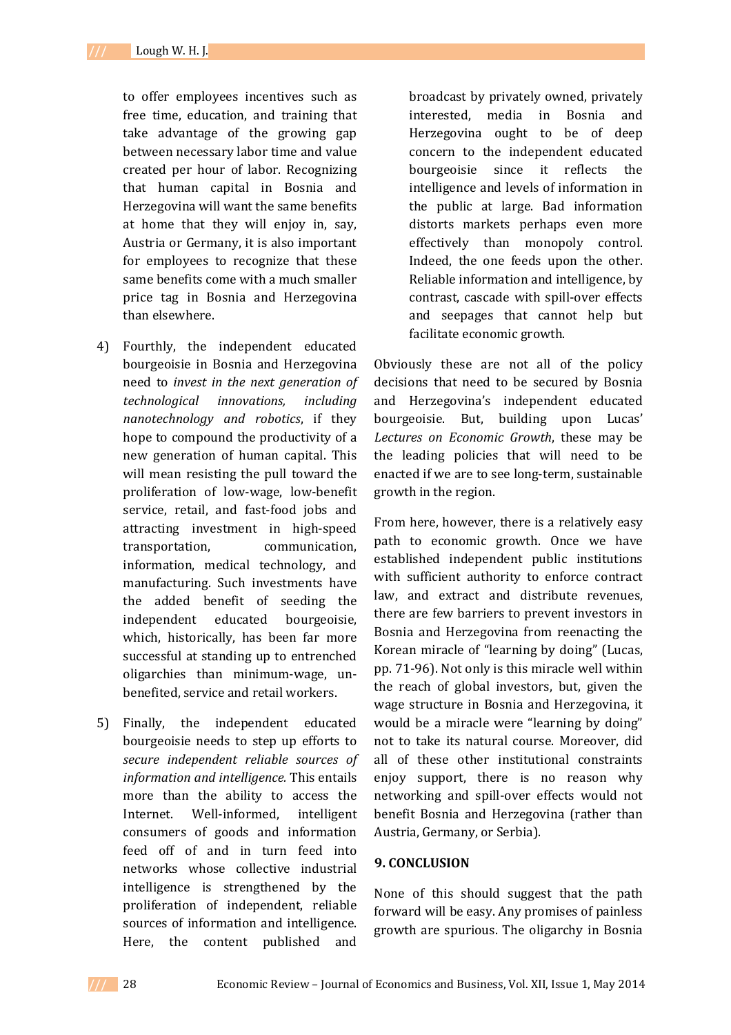to offer employees incentives such as free time, education, and training that take advantage of the growing gap between necessary labor time and value created per hour of labor. Recognizing that human capital in Bosnia and Herzegovina will want the same benefits at home that they will enjoy in, say, Austria or Germany, it is also important for employees to recognize that these same benefits come with a much smaller price tag in Bosnia and Herzegovina than elsewhere.

- 4) Fourthly, the independent educated bourgeoisie in Bosnia and Herzegovina need to *invest in the next generation of technological innovations, including nanotechnology and robotics*, if they hope to compound the productivity of a new generation of human capital. This will mean resisting the pull toward the proliferation of low-wage, low-benefit service, retail, and fast-food jobs and attracting investment in high-speed transportation, communication, information, medical technology, and manufacturing. Such investments have the added benefit of seeding the independent educated bourgeoisie, which, historically, has been far more successful at standing up to entrenched oligarchies than minimum-wage, unbenefited, service and retail workers.
- 5) Finally, the independent educated bourgeoisie needs to step up efforts to *secure independent reliable sources of information and intelligence.* This entails more than the ability to access the Internet. Well-informed, intelligent consumers of goods and information feed off of and in turn feed into networks whose collective industrial intelligence is strengthened by the proliferation of independent, reliable sources of information and intelligence. Here, the content published and

broadcast by privately owned, privately interested, media in Bosnia and Herzegovina ought to be of deep concern to the independent educated bourgeoisie since it reflects the intelligence and levels of information in the public at large. Bad information distorts markets perhaps even more effectively than monopoly control. Indeed, the one feeds upon the other. Reliable information and intelligence, by contrast, cascade with spill-over effects and seepages that cannot help but facilitate economic growth.

Obviously these are not all of the policy decisions that need to be secured by Bosnia and Herzegovina's independent educated bourgeoisie. But, building upon Lucas' *Lectures on Economic Growth*, these may be the leading policies that will need to be enacted if we are to see long-term, sustainable growth in the region.

From here, however, there is a relatively easy path to economic growth. Once we have established independent public institutions with sufficient authority to enforce contract law, and extract and distribute revenues, there are few barriers to prevent investors in Bosnia and Herzegovina from reenacting the Korean miracle of "learning by doing" (Lucas, pp. 71-96). Not only is this miracle well within the reach of global investors, but, given the wage structure in Bosnia and Herzegovina, it would be a miracle were "learning by doing" not to take its natural course. Moreover, did all of these other institutional constraints enjoy support, there is no reason why networking and spill-over effects would not benefit Bosnia and Herzegovina (rather than Austria, Germany, or Serbia).

#### **9. CONCLUSION**

None of this should suggest that the path forward will be easy. Any promises of painless growth are spurious. The oligarchy in Bosnia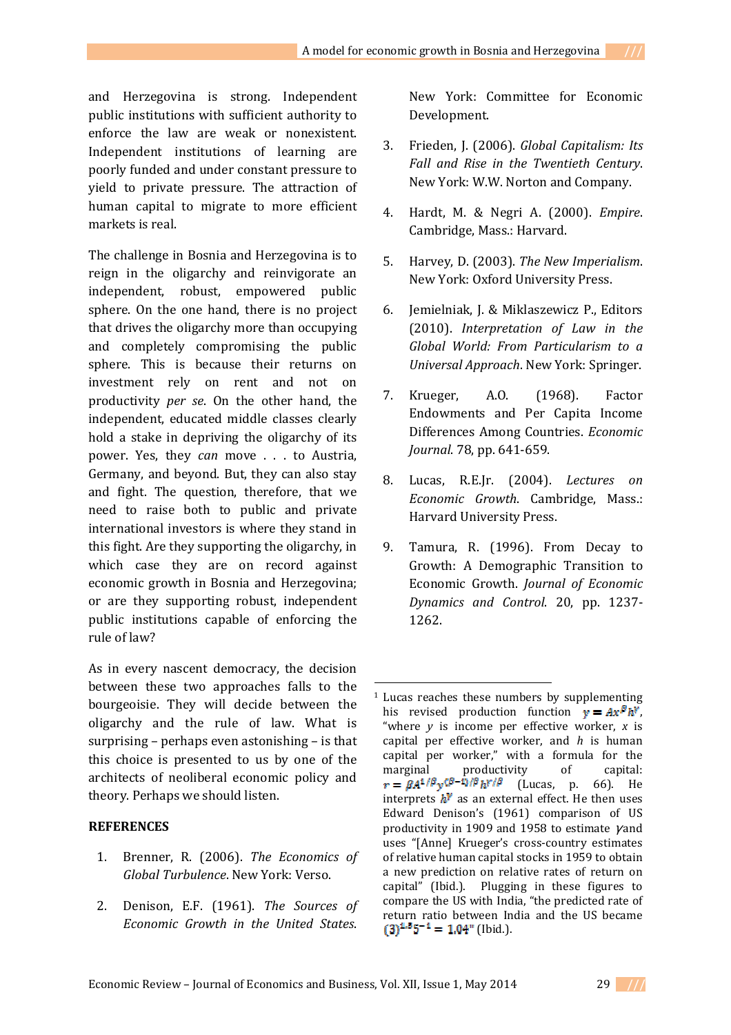and Herzegovina is strong. Independent public institutions with sufficient authority to enforce the law are weak or nonexistent. Independent institutions of learning are poorly funded and under constant pressure to yield to private pressure. The attraction of human capital to migrate to more efficient markets is real.

The challenge in Bosnia and Herzegovina is to reign in the oligarchy and reinvigorate an independent, robust, empowered public sphere. On the one hand, there is no project that drives the oligarchy more than occupying and completely compromising the public sphere. This is because their returns on investment rely on rent and not on productivity *per se*. On the other hand, the independent, educated middle classes clearly hold a stake in depriving the oligarchy of its power. Yes, they *can* move . . . to Austria, Germany, and beyond. But, they can also stay and fight. The question, therefore, that we need to raise both to public and private international investors is where they stand in this fight. Are they supporting the oligarchy, in which case they are on record against economic growth in Bosnia and Herzegovina; or are they supporting robust, independent public institutions capable of enforcing the rule of law?

As in every nascent democracy, the decision between these two approaches falls to the bourgeoisie. They will decide between the oligarchy and the rule of law. What is surprising – perhaps even astonishing – is that this choice is presented to us by one of the architects of neoliberal economic policy and theory. Perhaps we should listen.

### **REFERENCES**

- 1. Brenner, R. (2006). *The Economics of Global Turbulence*. New York: Verso.
- 2. Denison, E.F. (1961). *The Sources of Economic Growth in the United States*.

New York: Committee for Economic Development.

- 3. Frieden, J. (2006). *Global Capitalism: Its Fall and Rise in the Twentieth Century*. New York: W.W. Norton and Company.
- 4. Hardt, M. & Negri A. (2000). *Empire*. Cambridge, Mass.: Harvard.
- 5. Harvey, D. (2003). *The New Imperialism*. New York: Oxford University Press.
- 6. Jemielniak, J. & Miklaszewicz P., Editors (2010). *Interpretation of Law in the Global World: From Particularism to a Universal Approach*. New York: Springer.
- 7. Krueger, A.O. (1968). Factor Endowments and Per Capita Income Differences Among Countries. *Economic Journal*. 78, pp. 641-659.
- 8. Lucas, R.E.Jr. (2004). *Lectures on Economic Growth*. Cambridge, Mass.: Harvard University Press.
- 9. Tamura, R. (1996). From Decay to Growth: A Demographic Transition to Economic Growth. *Journal of Economic Dynamics and Control*. 20, pp. 1237- 1262.

 $\overline{a}$ 



 $1$  Lucas reaches these numbers by supplementing his revised production function  $y = Ax^{\beta}h^{\gamma}$ , "where *y* is income per effective worker, *x* is capital per effective worker, and *h* is human capital per worker," with a formula for the marginal productivity of capital:  $r = \beta A^{1/\beta} v^{(\beta - 1)/\beta} h^{\gamma/\beta}$  (Lucas, p. 66). He interprets  $h^V$  as an external effect. He then uses Edward Denison's (1961) comparison of US productivity in 1909 and 1958 to estimate γ and uses "[Anne] Krueger's cross-country estimates of relative human capital stocks in 1959 to obtain a new prediction on relative rates of return on capital" (Ibid.). Plugging in these figures to compare the US with India, "the predicted rate of return ratio between India and the US became  $(3)^{1.5}5^{-1} = 1.04$ " (Ibid.).